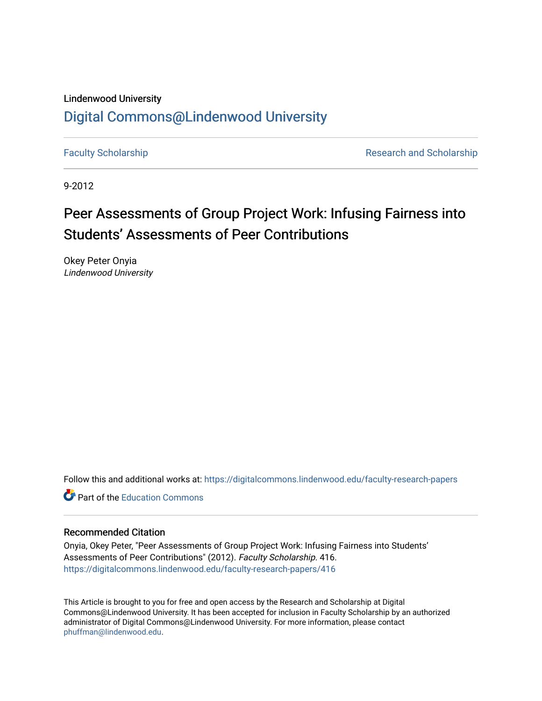#### Lindenwood University

## [Digital Commons@Lindenwood University](https://digitalcommons.lindenwood.edu/)

[Faculty Scholarship](https://digitalcommons.lindenwood.edu/faculty-research-papers) **Research and Scholarship** Research and Scholarship

9-2012

# Peer Assessments of Group Project Work: Infusing Fairness into Students' Assessments of Peer Contributions

Okey Peter Onyia Lindenwood University

Follow this and additional works at: [https://digitalcommons.lindenwood.edu/faculty-research-papers](https://digitalcommons.lindenwood.edu/faculty-research-papers?utm_source=digitalcommons.lindenwood.edu%2Ffaculty-research-papers%2F416&utm_medium=PDF&utm_campaign=PDFCoverPages)

**C** Part of the [Education Commons](http://network.bepress.com/hgg/discipline/784?utm_source=digitalcommons.lindenwood.edu%2Ffaculty-research-papers%2F416&utm_medium=PDF&utm_campaign=PDFCoverPages)

#### Recommended Citation

Onyia, Okey Peter, "Peer Assessments of Group Project Work: Infusing Fairness into Students' Assessments of Peer Contributions" (2012). Faculty Scholarship. 416. [https://digitalcommons.lindenwood.edu/faculty-research-papers/416](https://digitalcommons.lindenwood.edu/faculty-research-papers/416?utm_source=digitalcommons.lindenwood.edu%2Ffaculty-research-papers%2F416&utm_medium=PDF&utm_campaign=PDFCoverPages)

This Article is brought to you for free and open access by the Research and Scholarship at Digital Commons@Lindenwood University. It has been accepted for inclusion in Faculty Scholarship by an authorized administrator of Digital Commons@Lindenwood University. For more information, please contact [phuffman@lindenwood.edu](mailto:phuffman@lindenwood.edu).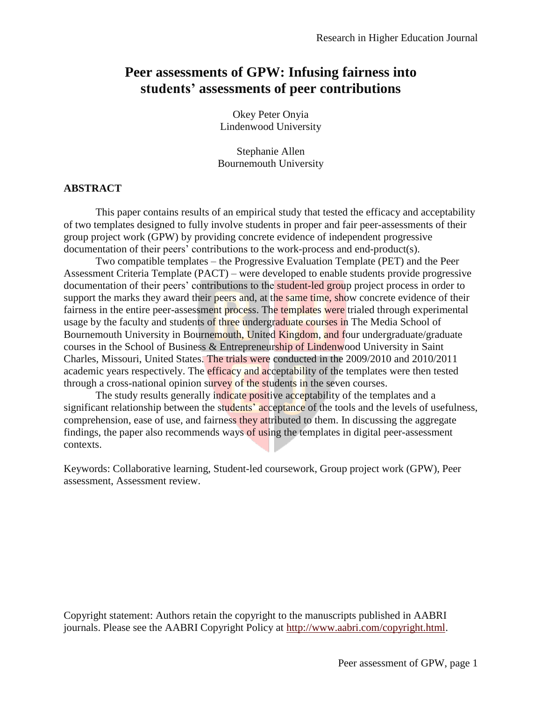## **Peer assessments of GPW: Infusing fairness into students' assessments of peer contributions**

Okey Peter Onyia Lindenwood University

Stephanie Allen Bournemouth University

#### **ABSTRACT**

This paper contains results of an empirical study that tested the efficacy and acceptability of two templates designed to fully involve students in proper and fair peer-assessments of their group project work (GPW) by providing concrete evidence of independent progressive documentation of their peers' contributions to the work-process and end-product(s).

Two compatible templates – the Progressive Evaluation Template (PET) and the Peer Assessment Criteria Template (PACT) – were developed to enable students provide progressive documentation of their peers' contributions to the **student-led group** project process in order to support the marks they award their peers and, at the same time, show concrete evidence of their fairness in the entire peer-assessment process. The templates were trialed through experimental usage by the faculty and students of three undergraduate courses in The Media School of Bournemouth University in Bournemouth, United Kingdom, and four undergraduate/graduate courses in the School of Business & Entrepreneurship of Lindenwood University in Saint Charles, Missouri, United States. The trials were conducted in the 2009/2010 and 2010/2011 academic years respectively. The **efficacy and acceptability** of the templates were then tested through a cross-national opinion survey of the students in the seven courses.

The study results generally indicate positive acceptability of the templates and a significant relationship between the students' acceptance of the tools and the levels of usefulness, comprehension, ease of use, and fairness they attributed to them. In discussing the aggregate findings, the paper also recommends ways of using the templates in digital peer-assessment contexts.

Keywords: Collaborative learning, Student-led coursework, Group project work (GPW), Peer assessment, Assessment review.

Copyright statement: Authors retain the copyright to the manuscripts published in AABRI journals. Please see the AABRI Copyright Policy at [http://www.aabri.com/copyright.html.](http://www.aabri.com/copyright.html)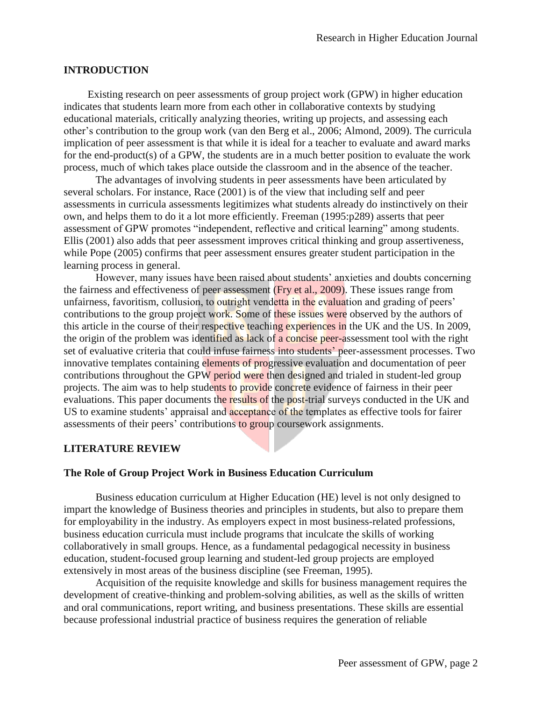### **INTRODUCTION**

Existing research on peer assessments of group project work (GPW) in higher education indicates that students learn more from each other in collaborative contexts by studying educational materials, critically analyzing theories, writing up projects, and assessing each other's contribution to the group work (van den Berg et al., 2006; Almond, 2009). The curricula implication of peer assessment is that while it is ideal for a teacher to evaluate and award marks for the end-product(s) of a GPW, the students are in a much better position to evaluate the work process, much of which takes place outside the classroom and in the absence of the teacher.

The advantages of involving students in peer assessments have been articulated by several scholars. For instance, Race (2001) is of the view that including self and peer assessments in curricula assessments legitimizes what students already do instinctively on their own, and helps them to do it a lot more efficiently. Freeman (1995:p289) asserts that peer assessment of GPW promotes "independent, reflective and critical learning" among students. Ellis (2001) also adds that peer assessment improves critical thinking and group assertiveness, while Pope (2005) confirms that peer assessment ensures greater student participation in the learning process in general.

However, many issues have been raised about students' anxieties and doubts concerning the fairness and effectiveness of peer assessment (Fry et al., 2009). These issues range from unfairness, favoritism, collusion, to outright vendetta in the evaluation and grading of peers' contributions to the group project work. Some of these issues were observed by the authors of this article in the course of their respective teaching experiences in the UK and the US. In 2009, the origin of the problem was identified as lack of a concise peer-assessment tool with the right set of evaluative criteria that could infuse fairness into students' peer-assessment processes. Two innovative templates containing elements of progressive evaluation and documentation of peer contributions throughout the GPW period were then designed and trialed in student-led group projects. The aim was to help students to provide concrete evidence of fairness in their peer evaluations. This paper documents the results of the post-trial surveys conducted in the UK and US to examine students' appraisal and **acceptance** of the templates as effective tools for fairer assessments of their peers' contributions to group coursework assignments.

#### **LITERATURE REVIEW**

#### **The Role of Group Project Work in Business Education Curriculum**

Business education curriculum at Higher Education (HE) level is not only designed to impart the knowledge of Business theories and principles in students, but also to prepare them for employability in the industry. As employers expect in most business-related professions, business education curricula must include programs that inculcate the skills of working collaboratively in small groups. Hence, as a fundamental pedagogical necessity in business education, student-focused group learning and student-led group projects are employed extensively in most areas of the business discipline (see Freeman, 1995).

Acquisition of the requisite knowledge and skills for business management requires the development of creative-thinking and problem-solving abilities, as well as the skills of written and oral communications, report writing, and business presentations. These skills are essential because professional industrial practice of business requires the generation of reliable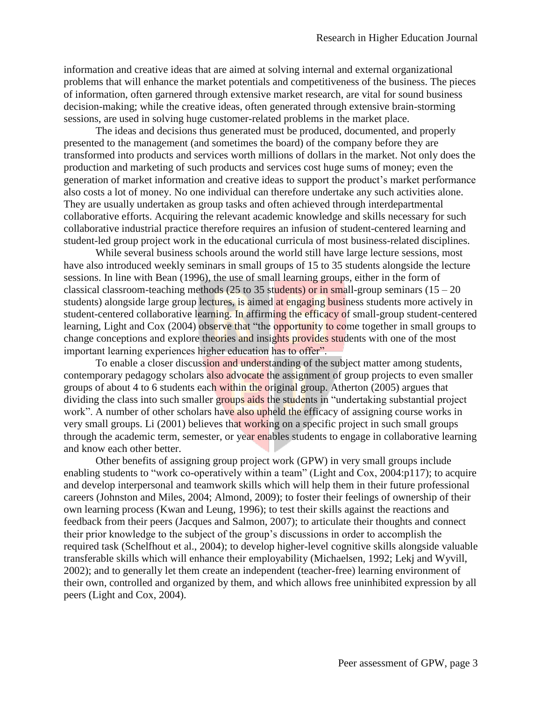information and creative ideas that are aimed at solving internal and external organizational problems that will enhance the market potentials and competitiveness of the business. The pieces of information, often garnered through extensive market research, are vital for sound business decision-making; while the creative ideas, often generated through extensive brain-storming sessions, are used in solving huge customer-related problems in the market place.

The ideas and decisions thus generated must be produced, documented, and properly presented to the management (and sometimes the board) of the company before they are transformed into products and services worth millions of dollars in the market. Not only does the production and marketing of such products and services cost huge sums of money; even the generation of market information and creative ideas to support the product's market performance also costs a lot of money. No one individual can therefore undertake any such activities alone. They are usually undertaken as group tasks and often achieved through interdepartmental collaborative efforts. Acquiring the relevant academic knowledge and skills necessary for such collaborative industrial practice therefore requires an infusion of student-centered learning and student-led group project work in the educational curricula of most business-related disciplines.

While several business schools around the world still have large lecture sessions, most have also introduced weekly seminars in small groups of 15 to 35 students alongside the lecture sessions. In line with Bean (1996), the use of small learning groups, either in the form of classical classroom-teaching methods (25 to 35 students) or in small-group seminars ( $15 - 20$ ) students) alongside large group lectures, is aimed at engaging business students more actively in student-centered collaborative learning. In affirming the efficacy of small-group student-centered learning, Light and Cox (2004) observe that "the opportunity to come together in small groups to change conceptions and explore theories and insights provides students with one of the most important learning experiences higher education has to offer".

To enable a closer discussion and understanding of the subject matter among students, contemporary pedagogy scholars also advocate the assignment of group projects to even smaller groups of about 4 to 6 students each within the original group. Atherton (2005) argues that dividing the class into such smaller groups aids the students in "undertaking substantial project work". A number of other scholars have also upheld the efficacy of assigning course works in very small groups. Li (2001) believes that working on a specific project in such small groups through the academic term, semester, or year enables students to engage in collaborative learning and know each other better.

Other benefits of assigning group project work (GPW) in very small groups include enabling students to "work co-operatively within a team" (Light and Cox, 2004:p117); to acquire and develop interpersonal and teamwork skills which will help them in their future professional careers (Johnston and Miles, 2004; Almond, 2009); to foster their feelings of ownership of their own learning process (Kwan and Leung, 1996); to test their skills against the reactions and feedback from their peers (Jacques and Salmon, 2007); to articulate their thoughts and connect their prior knowledge to the subject of the group's discussions in order to accomplish the required task (Schelfhout et al., 2004); to develop higher-level cognitive skills alongside valuable transferable skills which will enhance their employability (Michaelsen, 1992; Lekj and Wyvill, 2002); and to generally let them create an independent (teacher-free) learning environment of their own, controlled and organized by them, and which allows free uninhibited expression by all peers (Light and Cox, 2004).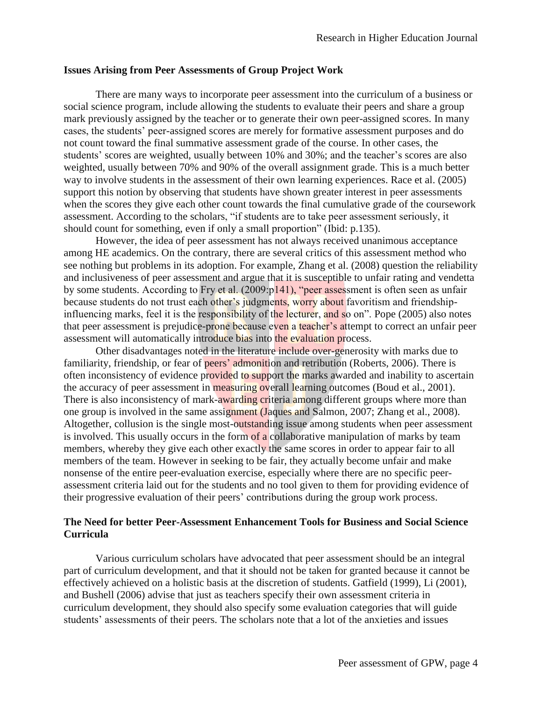#### **Issues Arising from Peer Assessments of Group Project Work**

There are many ways to incorporate peer assessment into the curriculum of a business or social science program, include allowing the students to evaluate their peers and share a group mark previously assigned by the teacher or to generate their own peer-assigned scores. In many cases, the students' peer-assigned scores are merely for formative assessment purposes and do not count toward the final summative assessment grade of the course. In other cases, the students' scores are weighted, usually between 10% and 30%; and the teacher's scores are also weighted, usually between 70% and 90% of the overall assignment grade. This is a much better way to involve students in the assessment of their own learning experiences. Race et al. (2005) support this notion by observing that students have shown greater interest in peer assessments when the scores they give each other count towards the final cumulative grade of the coursework assessment. According to the scholars, "if students are to take peer assessment seriously, it should count for something, even if only a small proportion" (Ibid: p.135).

However, the idea of peer assessment has not always received unanimous acceptance among HE academics. On the contrary, there are several critics of this assessment method who see nothing but problems in its adoption. For example, Zhang et al. (2008) question the reliability and inclusiveness of peer assessment and argue that it is susceptible to unfair rating and vendetta by some students. According to Fry et al. (2009:p141), "peer assessment is often seen as unfair because students do not trust each other's judgments, worry about favoritism and friendshipinfluencing marks, feel it is the responsibility of the lecturer, and so on". Pope (2005) also notes that peer assessment is prejudice-prone because even a teacher's attempt to correct an unfair peer assessment will automatically introduce bias into the evaluation process.

Other disadvantages noted in the literature include over-generosity with marks due to familiarity, friendship, or fear of peers' admonition and retribution (Roberts, 2006). There is often inconsistency of evidence provided to support the marks awarded and inability to ascertain the accuracy of peer assessment in measuring overall learning outcomes (Boud et al., 2001). There is also inconsistency of mark-awarding criteria among different groups where more than one group is involved in the same assignment (Jaques and Salmon, 2007; Zhang et al., 2008). Altogether, collusion is the single most-outstanding issue among students when peer assessment is involved. This usually occurs in the form of a collaborative manipulation of marks by team members, whereby they give each other exactly the same scores in order to appear fair to all members of the team. However in seeking to be fair, they actually become unfair and make nonsense of the entire peer-evaluation exercise, especially where there are no specific peerassessment criteria laid out for the students and no tool given to them for providing evidence of their progressive evaluation of their peers' contributions during the group work process.

#### **The Need for better Peer-Assessment Enhancement Tools for Business and Social Science Curricula**

Various curriculum scholars have advocated that peer assessment should be an integral part of curriculum development, and that it should not be taken for granted because it cannot be effectively achieved on a holistic basis at the discretion of students. Gatfield (1999), Li (2001), and Bushell (2006) advise that just as teachers specify their own assessment criteria in curriculum development, they should also specify some evaluation categories that will guide students' assessments of their peers. The scholars note that a lot of the anxieties and issues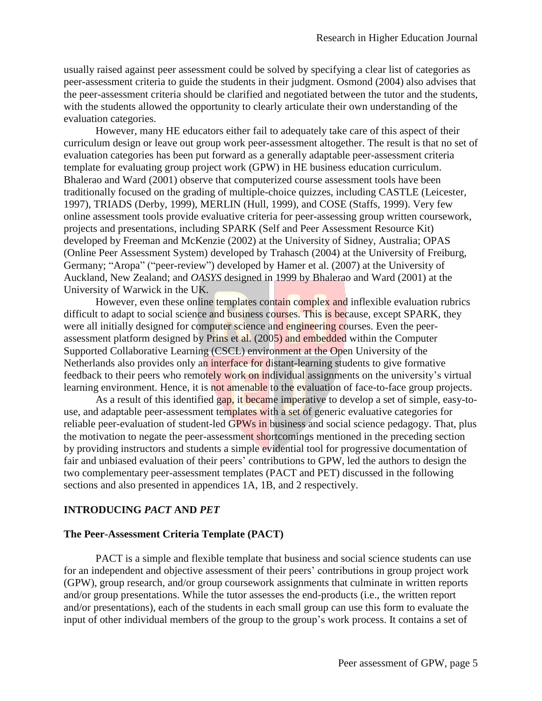usually raised against peer assessment could be solved by specifying a clear list of categories as peer-assessment criteria to guide the students in their judgment. Osmond (2004) also advises that the peer-assessment criteria should be clarified and negotiated between the tutor and the students, with the students allowed the opportunity to clearly articulate their own understanding of the evaluation categories.

However, many HE educators either fail to adequately take care of this aspect of their curriculum design or leave out group work peer-assessment altogether. The result is that no set of evaluation categories has been put forward as a generally adaptable peer-assessment criteria template for evaluating group project work (GPW) in HE business education curriculum. Bhalerao and Ward (2001) observe that computerized course assessment tools have been traditionally focused on the grading of multiple-choice quizzes, including CASTLE (Leicester, 1997), TRIADS (Derby, 1999), MERLIN (Hull, 1999), and COSE (Staffs, 1999). Very few online assessment tools provide evaluative criteria for peer-assessing group written coursework, projects and presentations, including SPARK (Self and Peer Assessment Resource Kit) developed by Freeman and McKenzie (2002) at the University of Sidney, Australia; OPAS (Online Peer Assessment System) developed by Trahasch (2004) at the University of Freiburg, Germany; "Aropa" ("peer-review") developed by Hamer et al. (2007) at the University of Auckland, New Zealand; and *OASYS* designed in 1999 by Bhalerao and Ward (2001) at the University of Warwick in the UK.

However, even these online templates contain complex and inflexible evaluation rubrics difficult to adapt to social science and business courses. This is because, except SPARK, they were all initially designed for computer science and engineering courses. Even the peerassessment platform designed by Prins et al. (2005) and embedded within the Computer Supported Collaborative Learning (CSCL) environment at the Open University of the Netherlands also provides only an interface for distant-learning students to give formative feedback to their peers who remotely work on individual assignments on the university's virtual learning environment. Hence, it is not amenable to the evaluation of face-to-face group projects.

As a result of this identified gap, it became imperative to develop a set of simple, easy-touse, and adaptable peer-assessment templates with a set of generic evaluative categories for reliable peer-evaluation of student-led GPWs in business and social science pedagogy. That, plus the motivation to negate the peer-assessment shortcomings mentioned in the preceding section by providing instructors and students a simple evidential tool for progressive documentation of fair and unbiased evaluation of their peers' contributions to GPW, led the authors to design the two complementary peer-assessment templates (PACT and PET) discussed in the following sections and also presented in appendices 1A, 1B, and 2 respectively.

#### **INTRODUCING** *PACT* **AND** *PET*

#### **The Peer-Assessment Criteria Template (PACT)**

PACT is a simple and flexible template that business and social science students can use for an independent and objective assessment of their peers' contributions in group project work (GPW), group research, and/or group coursework assignments that culminate in written reports and/or group presentations. While the tutor assesses the end-products (i.e., the written report and/or presentations), each of the students in each small group can use this form to evaluate the input of other individual members of the group to the group's work process. It contains a set of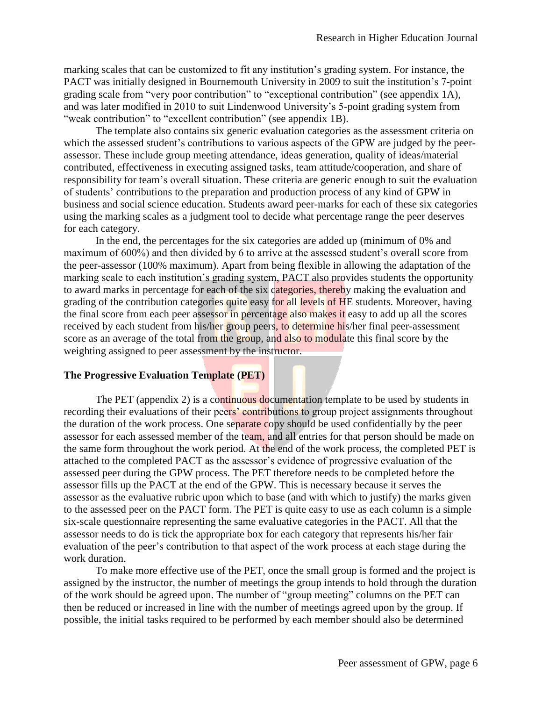marking scales that can be customized to fit any institution's grading system. For instance, the PACT was initially designed in Bournemouth University in 2009 to suit the institution's 7-point grading scale from "very poor contribution" to "exceptional contribution" (see appendix 1A), and was later modified in 2010 to suit Lindenwood University's 5-point grading system from "weak contribution" to "excellent contribution" (see appendix 1B).

The template also contains six generic evaluation categories as the assessment criteria on which the assessed student's contributions to various aspects of the GPW are judged by the peerassessor. These include group meeting attendance, ideas generation, quality of ideas/material contributed, effectiveness in executing assigned tasks, team attitude/cooperation, and share of responsibility for team's overall situation. These criteria are generic enough to suit the evaluation of students' contributions to the preparation and production process of any kind of GPW in business and social science education. Students award peer-marks for each of these six categories using the marking scales as a judgment tool to decide what percentage range the peer deserves for each category.

In the end, the percentages for the six categories are added up (minimum of 0% and maximum of 600%) and then divided by 6 to arrive at the assessed student's overall score from the peer-assessor (100% maximum). Apart from being flexible in allowing the adaptation of the marking scale to each institution's grading system, PACT also provides students the opportunity to award marks in percentage for each of the six categories, thereby making the evaluation and grading of the contribution categories quite easy for all levels of HE students. Moreover, having the final score from each peer assessor in percentage also makes it easy to add up all the scores received by each student from his/her group peers, to determine his/her final peer-assessment score as an average of the total from the group, and also to modulate this final score by the weighting assigned to peer assessment by the instructor.

#### **The Progressive Evaluation Template (PET)**

The PET (appendix 2) is a continuous documentation template to be used by students in recording their evaluations of their peers' contributions to group project assignments throughout the duration of the work process. One separate copy should be used confidentially by the peer assessor for each assessed member of the team, and all entries for that person should be made on the same form throughout the work period. At the end of the work process, the completed PET is attached to the completed PACT as the assessor's evidence of progressive evaluation of the assessed peer during the GPW process. The PET therefore needs to be completed before the assessor fills up the PACT at the end of the GPW. This is necessary because it serves the assessor as the evaluative rubric upon which to base (and with which to justify) the marks given to the assessed peer on the PACT form. The PET is quite easy to use as each column is a simple six-scale questionnaire representing the same evaluative categories in the PACT. All that the assessor needs to do is tick the appropriate box for each category that represents his/her fair evaluation of the peer's contribution to that aspect of the work process at each stage during the work duration.

To make more effective use of the PET, once the small group is formed and the project is assigned by the instructor, the number of meetings the group intends to hold through the duration of the work should be agreed upon. The number of "group meeting" columns on the PET can then be reduced or increased in line with the number of meetings agreed upon by the group. If possible, the initial tasks required to be performed by each member should also be determined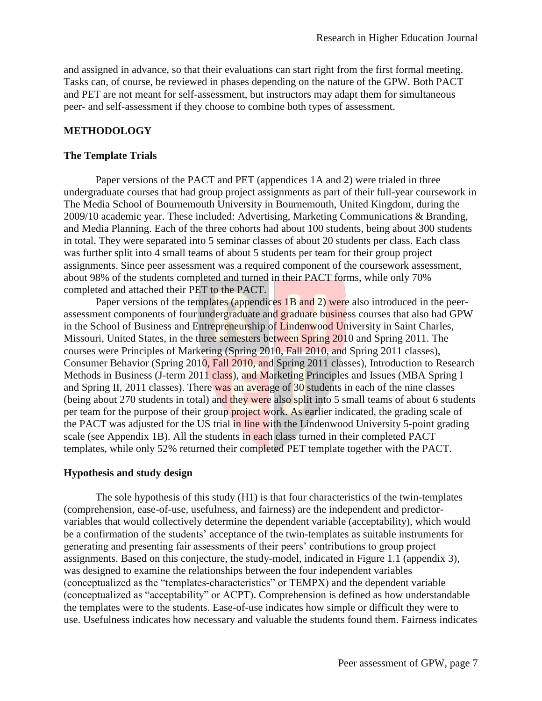and assigned in advance, so that their evaluations can start right from the first formal meeting. Tasks can, of course, be reviewed in phases depending on the nature of the GPW. Both PACT and PET are not meant for self-assessment, but instructors may adapt them for simultaneous peer- and self-assessment if they choose to combine both types of assessment.

#### **METHODOLOGY**

#### **The Template Trials**

Paper versions of the PACT and PET (appendices 1A and 2) were trialed in three undergraduate courses that had group project assignments as part of their full-year coursework in The Media School of Bournemouth University in Bournemouth, United Kingdom, during the 2009/10 academic year. These included: Advertising, Marketing Communications & Branding, and Media Planning. Each of the three cohorts had about 100 students, being about 300 students in total. They were separated into 5 seminar classes of about 20 students per class. Each class was further split into 4 small teams of about 5 students per team for their group project assignments. Since peer assessment was a required component of the coursework assessment, about 98% of the students completed and turned in their PACT forms, while only 70% completed and attached their PET to the PACT.

Paper versions of the templates (appendices 1B and 2) were also introduced in the peerassessment components of four undergraduate and graduate business courses that also had GPW in the School of Business and Entrepreneurship of Lindenwood University in Saint Charles, Missouri, United States, in the three semesters between Spring 2010 and Spring 2011. The courses were Principles of Marketing (Spring 2010, Fall 2010, and Spring 2011 classes), Consumer Behavior (Spring 2010, Fall 2010, and Spring 2011 classes), Introduction to Research Methods in Business (J-term 2011 class), and Marketing Principles and Issues (MBA Spring I and Spring II, 2011 classes). There was an average of 30 students in each of the nine classes (being about 270 students in total) and they were also split into 5 small teams of about 6 students per team for the purpose of their group project work. As earlier indicated, the grading scale of the PACT was adjusted for the US trial in line with the Lindenwood University 5-point grading scale (see Appendix 1B). All the students in each class turned in their completed PACT templates, while only 52% returned their completed PET template together with the PACT.

#### **Hypothesis and study design**

The sole hypothesis of this study (H1) is that four characteristics of the twin-templates (comprehension, ease-of-use, usefulness, and fairness) are the independent and predictorvariables that would collectively determine the dependent variable (acceptability), which would be a confirmation of the students' acceptance of the twin-templates as suitable instruments for generating and presenting fair assessments of their peers' contributions to group project assignments. Based on this conjecture, the study-model, indicated in Figure 1.1 (appendix 3), was designed to examine the relationships between the four independent variables (conceptualized as the "templates-characteristics" or TEMPX) and the dependent variable (conceptualized as "acceptability" or ACPT). Comprehension is defined as how understandable the templates were to the students. Ease-of-use indicates how simple or difficult they were to use. Usefulness indicates how necessary and valuable the students found them. Fairness indicates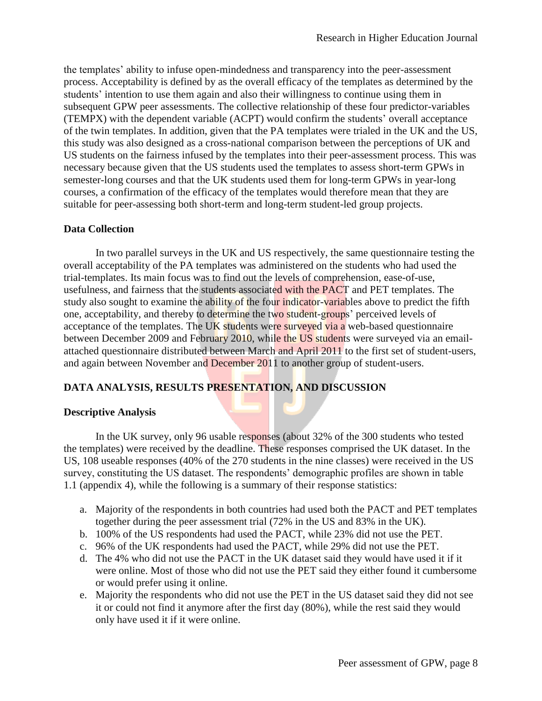the templates' ability to infuse open-mindedness and transparency into the peer-assessment process. Acceptability is defined by as the overall efficacy of the templates as determined by the students' intention to use them again and also their willingness to continue using them in subsequent GPW peer assessments. The collective relationship of these four predictor-variables (TEMPX) with the dependent variable (ACPT) would confirm the students' overall acceptance of the twin templates. In addition, given that the PA templates were trialed in the UK and the US, this study was also designed as a cross-national comparison between the perceptions of UK and US students on the fairness infused by the templates into their peer-assessment process. This was necessary because given that the US students used the templates to assess short-term GPWs in semester-long courses and that the UK students used them for long-term GPWs in year-long courses, a confirmation of the efficacy of the templates would therefore mean that they are suitable for peer-assessing both short-term and long-term student-led group projects.

### **Data Collection**

In two parallel surveys in the UK and US respectively, the same questionnaire testing the overall acceptability of the PA templates was administered on the students who had used the trial-templates. Its main focus was to find out the levels of comprehension, ease-of-use, usefulness, and fairness that the students associated with the PACT and PET templates. The study also sought to examine the ability of the four indicator-variables above to predict the fifth one, acceptability, and thereby to determine the two student-groups' perceived levels of acceptance of the templates. The UK students were surveyed via a web-based questionnaire between December 2009 and February 2010, while the US students were surveyed via an emailattached questionnaire distributed between March and April 2011 to the first set of student-users, and again between November and December 2011 to another group of student-users.

### **DATA ANALYSIS, RESULTS PRESENTATION, AND DISCUSSION**

### **Descriptive Analysis**

In the UK survey, only 96 usable responses (about 32% of the 300 students who tested the templates) were received by the deadline. These responses comprised the UK dataset. In the US, 108 useable responses (40% of the 270 students in the nine classes) were received in the US survey, constituting the US dataset. The respondents' demographic profiles are shown in table 1.1 (appendix 4), while the following is a summary of their response statistics:

- a. Majority of the respondents in both countries had used both the PACT and PET templates together during the peer assessment trial (72% in the US and 83% in the UK).
- b. 100% of the US respondents had used the PACT, while 23% did not use the PET.
- c. 96% of the UK respondents had used the PACT, while 29% did not use the PET.
- d. The 4% who did not use the PACT in the UK dataset said they would have used it if it were online. Most of those who did not use the PET said they either found it cumbersome or would prefer using it online.
- e. Majority the respondents who did not use the PET in the US dataset said they did not see it or could not find it anymore after the first day (80%), while the rest said they would only have used it if it were online.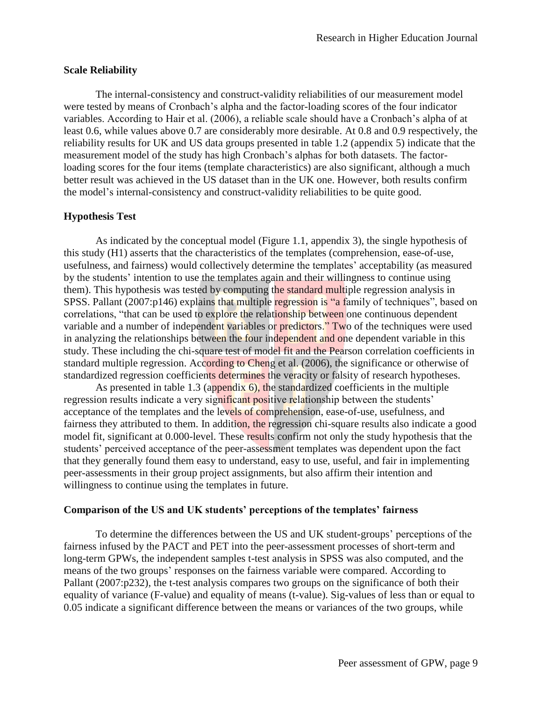### **Scale Reliability**

The internal-consistency and construct-validity reliabilities of our measurement model were tested by means of Cronbach's alpha and the factor-loading scores of the four indicator variables. According to Hair et al. (2006), a reliable scale should have a Cronbach's alpha of at least 0.6, while values above 0.7 are considerably more desirable. At 0.8 and 0.9 respectively, the reliability results for UK and US data groups presented in table 1.2 (appendix 5) indicate that the measurement model of the study has high Cronbach's alphas for both datasets. The factorloading scores for the four items (template characteristics) are also significant, although a much better result was achieved in the US dataset than in the UK one. However, both results confirm the model's internal-consistency and construct-validity reliabilities to be quite good.

### **Hypothesis Test**

As indicated by the conceptual model (Figure 1.1, appendix 3), the single hypothesis of this study (H1) asserts that the characteristics of the templates (comprehension, ease-of-use, usefulness, and fairness) would collectively determine the templates' acceptability (as measured by the students' intention to use the templates again and their willingness to continue using them). This hypothesis was tested by computing the standard multiple regression analysis in SPSS. Pallant (2007:p146) explains that multiple regression is "a family of techniques", based on correlations, "that can be used to explore the relationship between one continuous dependent variable and a number of independent variables or predictors." Two of the techniques were used in analyzing the relationships between the four independent and one dependent variable in this study. These including the chi-square test of model fit and the Pearson correlation coefficients in standard multiple regression. According to Cheng et al. (2006), the significance or otherwise of standardized regression coefficients determines the veracity or falsity of research hypotheses.

As presented in table 1.3 (appendix  $6$ ), the standardized coefficients in the multiple regression results indicate a very significant positive relationship between the students' acceptance of the templates and the levels of comprehension, ease-of-use, usefulness, and fairness they attributed to them. In addition, the regression chi-square results also indicate a good model fit, significant at 0.000-level. These results confirm not only the study hypothesis that the students' perceived acceptance of the peer-assessment templates was dependent upon the fact that they generally found them easy to understand, easy to use, useful, and fair in implementing peer-assessments in their group project assignments, but also affirm their intention and willingness to continue using the templates in future.

#### **Comparison of the US and UK students' perceptions of the templates' fairness**

To determine the differences between the US and UK student-groups' perceptions of the fairness infused by the PACT and PET into the peer-assessment processes of short-term and long-term GPWs, the independent samples t-test analysis in SPSS was also computed, and the means of the two groups' responses on the fairness variable were compared. According to Pallant (2007: p232), the t-test analysis compares two groups on the significance of both their equality of variance (F-value) and equality of means (t-value). Sig-values of less than or equal to 0.05 indicate a significant difference between the means or variances of the two groups, while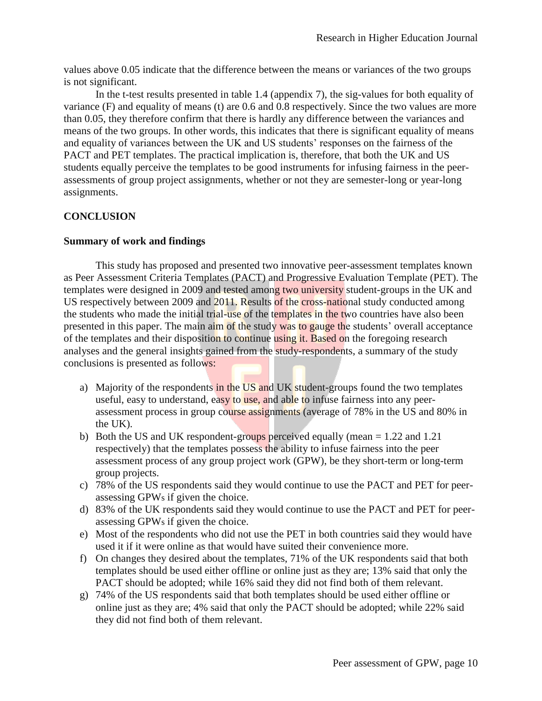values above 0.05 indicate that the difference between the means or variances of the two groups is not significant.

In the t-test results presented in table 1.4 (appendix 7), the sig-values for both equality of variance (F) and equality of means (t) are 0.6 and 0.8 respectively. Since the two values are more than 0.05, they therefore confirm that there is hardly any difference between the variances and means of the two groups. In other words, this indicates that there is significant equality of means and equality of variances between the UK and US students' responses on the fairness of the PACT and PET templates. The practical implication is, therefore, that both the UK and US students equally perceive the templates to be good instruments for infusing fairness in the peerassessments of group project assignments, whether or not they are semester-long or year-long assignments.

## **CONCLUSION**

### **Summary of work and findings**

This study has proposed and presented two innovative peer-assessment templates known as Peer Assessment Criteria Templates (PACT) and Progressive Evaluation Template (PET). The templates were designed in 2009 and tested among two university student-groups in the UK and US respectively between 2009 and 2011. Results of the cross-national study conducted among the students who made the initial trial-use of the templates in the two countries have also been presented in this paper. The main aim of the study was to gauge the students' overall acceptance of the templates and their disposition to continue using it. Based on the foregoing research analyses and the general insights gained from the study-respondents, a summary of the study conclusions is presented as follows:

- a) Majority of the respondents in the US and UK student-groups found the two templates useful, easy to understand, easy to use, and able to infuse fairness into any peerassessment process in group course assignments (average of 78% in the US and 80% in the UK).
- b) Both the US and UK respondent-groups perceived equally (mean  $= 1.22$  and 1.21 respectively) that the templates possess the ability to infuse fairness into the peer assessment process of any group project work (GPW), be they short-term or long-term group projects.
- c) 78% of the US respondents said they would continue to use the PACT and PET for peerassessing GPWs if given the choice.
- d) 83% of the UK respondents said they would continue to use the PACT and PET for peerassessing GPWs if given the choice.
- e) Most of the respondents who did not use the PET in both countries said they would have used it if it were online as that would have suited their convenience more.
- f) On changes they desired about the templates, 71% of the UK respondents said that both templates should be used either offline or online just as they are; 13% said that only the PACT should be adopted; while 16% said they did not find both of them relevant.
- g) 74% of the US respondents said that both templates should be used either offline or online just as they are; 4% said that only the PACT should be adopted; while 22% said they did not find both of them relevant.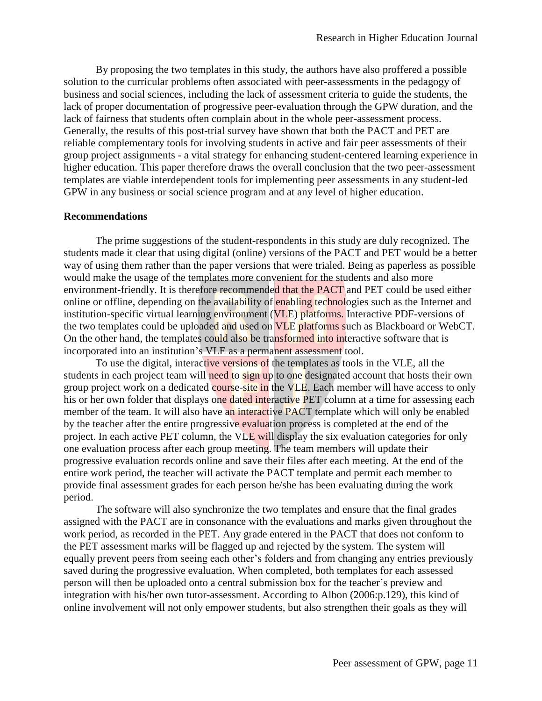By proposing the two templates in this study, the authors have also proffered a possible solution to the curricular problems often associated with peer-assessments in the pedagogy of business and social sciences, including the lack of assessment criteria to guide the students, the lack of proper documentation of progressive peer-evaluation through the GPW duration, and the lack of fairness that students often complain about in the whole peer-assessment process. Generally, the results of this post-trial survey have shown that both the PACT and PET are reliable complementary tools for involving students in active and fair peer assessments of their group project assignments - a vital strategy for enhancing student-centered learning experience in higher education. This paper therefore draws the overall conclusion that the two peer-assessment templates are viable interdependent tools for implementing peer assessments in any student-led GPW in any business or social science program and at any level of higher education.

#### **Recommendations**

The prime suggestions of the student-respondents in this study are duly recognized. The students made it clear that using digital (online) versions of the PACT and PET would be a better way of using them rather than the paper versions that were trialed. Being as paperless as possible would make the usage of the templates more convenient for the students and also more environment-friendly. It is therefore recommended that the PACT and PET could be used either online or offline, depending on the availability of enabling technologies such as the Internet and institution-specific virtual learning environment (VLE) platforms. Interactive PDF-versions of the two templates could be uploaded and used on **VLE** platforms such as Blackboard or WebCT. On the other hand, the templates could also be transformed into interactive software that is incorporated into an institution's VLE as a permanent assessment tool.

To use the digital, interactive versions of the templates as tools in the VLE, all the students in each project team will need to sign up to one designated account that hosts their own group project work on a dedicated course-site in the VLE. Each member will have access to only his or her own folder that displays one dated interactive PET column at a time for assessing each member of the team. It will also have an interactive PACT template which will only be enabled by the teacher after the entire progressive evaluation process is completed at the end of the project. In each active PET column, the VLE will display the six evaluation categories for only one evaluation process after each group meeting. The team members will update their progressive evaluation records online and save their files after each meeting. At the end of the entire work period, the teacher will activate the PACT template and permit each member to provide final assessment grades for each person he/she has been evaluating during the work period.

The software will also synchronize the two templates and ensure that the final grades assigned with the PACT are in consonance with the evaluations and marks given throughout the work period, as recorded in the PET. Any grade entered in the PACT that does not conform to the PET assessment marks will be flagged up and rejected by the system. The system will equally prevent peers from seeing each other's folders and from changing any entries previously saved during the progressive evaluation. When completed, both templates for each assessed person will then be uploaded onto a central submission box for the teacher's preview and integration with his/her own tutor-assessment. According to Albon (2006:p.129), this kind of online involvement will not only empower students, but also strengthen their goals as they will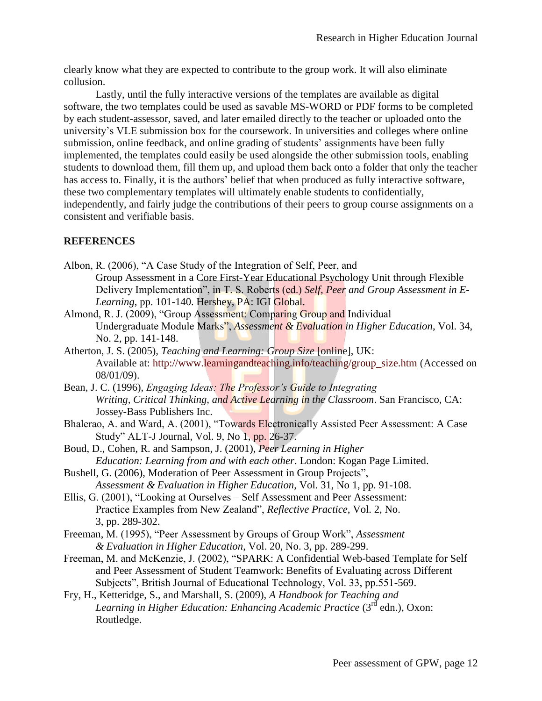clearly know what they are expected to contribute to the group work. It will also eliminate collusion.

Lastly, until the fully interactive versions of the templates are available as digital software, the two templates could be used as savable MS-WORD or PDF forms to be completed by each student-assessor, saved, and later emailed directly to the teacher or uploaded onto the university's VLE submission box for the coursework. In universities and colleges where online submission, online feedback, and online grading of students' assignments have been fully implemented, the templates could easily be used alongside the other submission tools, enabling students to download them, fill them up, and upload them back onto a folder that only the teacher has access to. Finally, it is the authors' belief that when produced as fully interactive software, these two complementary templates will ultimately enable students to confidentially, independently, and fairly judge the contributions of their peers to group course assignments on a consistent and verifiable basis.

## **REFERENCES**

- Albon, R. (2006), "A Case Study of the Integration of Self, Peer, and Group Assessment in a Core First-Year Educational Psychology Unit through Flexible Delivery Implementation", in T. S. Roberts (ed.) *Self, Peer and Group Assessment in E-Learning*, pp. 101-140. Hershey, PA: IGI Global.
- Almond, R. J. (2009), "Group Assessment: Comparing Group and Individual Undergraduate Module Marks", *Assessment & Evaluation in Higher Education*, Vol. 34, No. 2, pp. 141-148.
- Atherton, J. S. (2005), *Teaching and Learning: Group Size* [online], UK: Available at: [http://www.learningandteaching.info/teaching/group\\_size.htm](http://www.learningandteaching.info/teaching/group_size.htm) (Accessed on 08/01/09).
- Bean, J. C. (1996), *Engaging Ideas: The Professor's Guide to Integrating Writing, Critical Thinking, and Active Learning in the Classroom*. San Francisco, CA: Jossey-Bass Publishers Inc.
- Bhalerao, A. and Ward, A. (2001), "Towards Electronically Assisted Peer Assessment: A Case Study" ALT-J Journal, Vol. 9, No 1, pp. 26-37.
- Boud, D., Cohen, R. and Sampson, J. (2001), *Peer Learning in Higher Education: Learning from and with each other*. London: Kogan Page Limited.
- Bushell, G. (2006), Moderation of Peer Assessment in Group Projects", *Assessment & Evaluation in Higher Education*, Vol. 31, No 1, pp. 91-108.
- Ellis, G. (2001), "Looking at Ourselves Self Assessment and Peer Assessment: Practice Examples from New Zealand", *Reflective Practice*, Vol. 2, No. 3, pp. 289-302.
- Freeman, M. (1995), "Peer Assessment by Groups of Group Work", *Assessment & Evaluation in Higher Education*, Vol. 20, No. 3, pp. 289-299.
- Freeman, M. and McKenzie, J. (2002), "SPARK: A Confidential Web-based Template for Self and Peer Assessment of Student Teamwork: Benefits of Evaluating across Different Subjects", British Journal of Educational Technology, Vol. 33, pp.551-569.
- Fry, H., Ketteridge, S., and Marshall, S. (2009), *A Handbook for Teaching and Learning in Higher Education: Enhancing Academic Practice* (3rd edn.), Oxon: Routledge.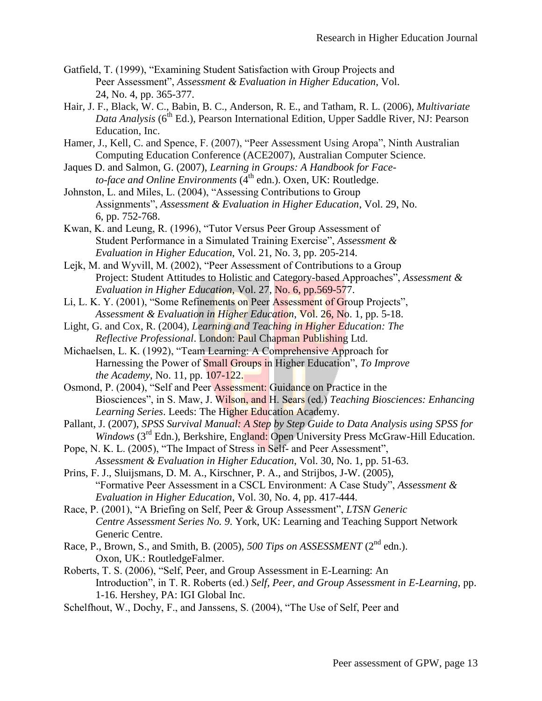- Gatfield, T. (1999), "Examining Student Satisfaction with Group Projects and Peer Assessment", *Assessment & Evaluation in Higher Education*, Vol. 24, No. 4, pp. 365-377.
- Hair, J. F., Black, W. C., Babin, B. C., Anderson, R. E., and Tatham, R. L. (2006), *Multivariate*  Data Analysis (6<sup>th</sup> Ed.), Pearson International Edition, Upper Saddle River, NJ: Pearson Education, Inc.
- Hamer, J., Kell, C. and Spence, F. (2007), "Peer Assessment Using Aropa", Ninth Australian Computing Education Conference (ACE2007), Australian Computer Science.
- Jaques D. and Salmon, G. (2007), *Learning in Groups: A Handbook for Face* $to$ -face and Online Environments  $(\tilde{4}^{th}$  edn.). Oxen, UK: Routledge.
- Johnston, L. and Miles, L. (2004), "Assessing Contributions to Group Assignments", *Assessment & Evaluation in Higher Education*, Vol. 29, No. 6, pp. 752-768.
- Kwan, K. and Leung, R. (1996), "Tutor Versus Peer Group Assessment of Student Performance in a Simulated Training Exercise", *Assessment & Evaluation in Higher Education*, Vol. 21, No. 3, pp. 205-214.

Lejk, M. and Wyvill, M. (2002), "Peer Assessment of Contributions to a Group Project: Student Attitudes to Holistic and Category-based Approaches", *Assessment & Evaluation in Higher Education*, Vol. 27, No. 6, pp.569-577.

Li, L. K. Y. (2001), "Some Refinements on Peer Assessment of Group Projects", *Assessment & Evaluation in Higher Education*, Vol. 26, No. 1, pp. 5-18.

- Light, G. and Cox, R. (2004), *Learning and Teaching in Higher Education: The Reflective Professional*. London: Paul Chapman Publishing Ltd.
- Michaelsen, L. K. (1992), "Team Learning: A Comprehensive Approach for Harnessing the Power of Small Groups in Higher Education", *To Improve the Academy*, No. 11, pp. 107-122.

Osmond, P. (2004), "Self and Peer Assessment: Guidance on Practice in the Biosciences", in S. Maw, J. Wilson, and H. Sears (ed.) *Teaching Biosciences: Enhancing Learning Series*. Leeds: The Higher Education Academy.

Pallant, J. (2007), *SPSS Survival Manual: A Step by Step Guide to Data Analysis using SPSS for Windows* (3<sup>rd</sup> Edn.), Berkshire, England: Open University Press McGraw-Hill Education.

Pope, N. K. L. (2005), "The Impact of Stress in Self- and Peer Assessment", *Assessment & Evaluation in Higher Education*, Vol. 30, No. 1, pp. 51-63.

- Prins, F. J., Sluijsmans, D. M. A., Kirschner, P. A., and Strijbos, J-W. (2005), "Formative Peer Assessment in a CSCL Environment: A Case Study", *Assessment & Evaluation in Higher Education*, Vol. 30, No. 4, pp. 417-444.
- Race, P. (2001), "A Briefing on Self, Peer & Group Assessment", *LTSN Generic Centre Assessment Series No. 9*. York, UK: Learning and Teaching Support Network Generic Centre.
- Race, P., Brown, S., and Smith, B. (2005), *500 Tips on ASSESSMENT* (2nd edn.). Oxon, UK.: RoutledgeFalmer.
- Roberts, T. S. (2006), "Self, Peer, and Group Assessment in E-Learning: An Introduction", in T. R. Roberts (ed.) *Self, Peer, and Group Assessment in E-Learning*, pp. 1-16. Hershey, PA: IGI Global Inc.
- Schelfhout, W., Dochy, F., and Janssens, S. (2004), "The Use of Self, Peer and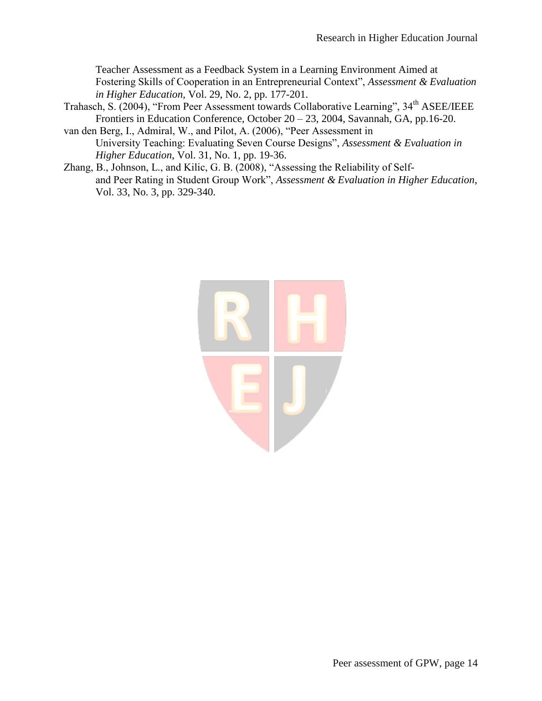Teacher Assessment as a Feedback System in a Learning Environment Aimed at Fostering Skills of Cooperation in an Entrepreneurial Context", *Assessment & Evaluation in Higher Education*, Vol. 29, No. 2, pp. 177-201.

Trahasch, S. (2004), "From Peer Assessment towards Collaborative Learning", 34th ASEE/IEEE Frontiers in Education Conference, October 20 – 23, 2004, Savannah, GA, pp.16-20.

van den Berg, I., Admiral, W., and Pilot, A. (2006), "Peer Assessment in University Teaching: Evaluating Seven Course Designs", *Assessment & Evaluation in Higher Education*, Vol. 31, No. 1, pp. 19-36.

Zhang, B., Johnson, L., and Kilic, G. B. (2008), "Assessing the Reliability of Selfand Peer Rating in Student Group Work", *Assessment & Evaluation in Higher Education*, Vol. 33, No. 3, pp. 329-340.

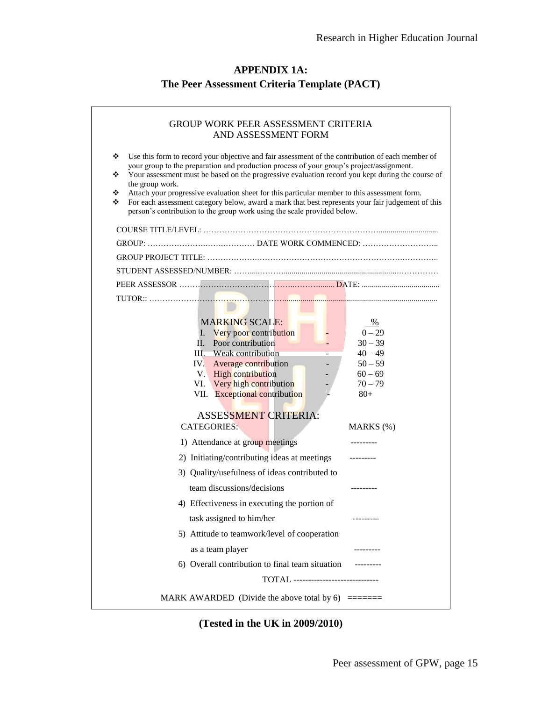## **APPENDIX 1A: The Peer Assessment Criteria Template (PACT)**

| <b>GROUP WORK PEER ASSESSMENT CRITERIA</b><br>AND ASSESSMENT FORM                                                                                                                                                                                                                                                                                                                                                                                                                                                                                                                                                       |                                                                                            |  |  |  |  |  |  |
|-------------------------------------------------------------------------------------------------------------------------------------------------------------------------------------------------------------------------------------------------------------------------------------------------------------------------------------------------------------------------------------------------------------------------------------------------------------------------------------------------------------------------------------------------------------------------------------------------------------------------|--------------------------------------------------------------------------------------------|--|--|--|--|--|--|
| ❖<br>Use this form to record your objective and fair assessment of the contribution of each member of<br>your group to the preparation and production process of your group's project/assignment.<br>Your assessment must be based on the progressive evaluation record you kept during the course of<br>❖<br>the group work.<br>Attach your progressive evaluation sheet for this particular member to this assessment form.<br>❖<br>For each assessment category below, award a mark that best represents your fair judgement of this<br>❖<br>person's contribution to the group work using the scale provided below. |                                                                                            |  |  |  |  |  |  |
|                                                                                                                                                                                                                                                                                                                                                                                                                                                                                                                                                                                                                         |                                                                                            |  |  |  |  |  |  |
|                                                                                                                                                                                                                                                                                                                                                                                                                                                                                                                                                                                                                         |                                                                                            |  |  |  |  |  |  |
|                                                                                                                                                                                                                                                                                                                                                                                                                                                                                                                                                                                                                         |                                                                                            |  |  |  |  |  |  |
|                                                                                                                                                                                                                                                                                                                                                                                                                                                                                                                                                                                                                         |                                                                                            |  |  |  |  |  |  |
|                                                                                                                                                                                                                                                                                                                                                                                                                                                                                                                                                                                                                         |                                                                                            |  |  |  |  |  |  |
|                                                                                                                                                                                                                                                                                                                                                                                                                                                                                                                                                                                                                         |                                                                                            |  |  |  |  |  |  |
| <b>MARKING SCALE:</b><br>I. Very poor contribution<br>II. Poor contribution<br>III. Weak contribution<br>IV. Average contribution<br>V. High contribution<br>VI. Very high contribution<br>VII. Exceptional contribution                                                                                                                                                                                                                                                                                                                                                                                                | $\%$<br>$0 - 29$<br>$30 - 39$<br>$40 - 49$<br>$50 - 59$<br>$60 - 69$<br>$70 - 79$<br>$80+$ |  |  |  |  |  |  |
| <b>ASSESSMENT CRITERIA:</b><br><b>CATEGORIES:</b>                                                                                                                                                                                                                                                                                                                                                                                                                                                                                                                                                                       | $MARKS$ $(\%)$                                                                             |  |  |  |  |  |  |
| 1) Attendance at group meetings                                                                                                                                                                                                                                                                                                                                                                                                                                                                                                                                                                                         |                                                                                            |  |  |  |  |  |  |
| 2) Initiating/contributing ideas at meetings                                                                                                                                                                                                                                                                                                                                                                                                                                                                                                                                                                            |                                                                                            |  |  |  |  |  |  |
| 3) Quality/usefulness of ideas contributed to                                                                                                                                                                                                                                                                                                                                                                                                                                                                                                                                                                           |                                                                                            |  |  |  |  |  |  |
| team discussions/decisions                                                                                                                                                                                                                                                                                                                                                                                                                                                                                                                                                                                              |                                                                                            |  |  |  |  |  |  |
| 4) Effectiveness in executing the portion of                                                                                                                                                                                                                                                                                                                                                                                                                                                                                                                                                                            |                                                                                            |  |  |  |  |  |  |
| task assigned to him/her                                                                                                                                                                                                                                                                                                                                                                                                                                                                                                                                                                                                |                                                                                            |  |  |  |  |  |  |
| 5) Attitude to teamwork/level of cooperation                                                                                                                                                                                                                                                                                                                                                                                                                                                                                                                                                                            |                                                                                            |  |  |  |  |  |  |
| as a team player                                                                                                                                                                                                                                                                                                                                                                                                                                                                                                                                                                                                        |                                                                                            |  |  |  |  |  |  |
| 6) Overall contribution to final team situation                                                                                                                                                                                                                                                                                                                                                                                                                                                                                                                                                                         |                                                                                            |  |  |  |  |  |  |
| <b>TOTAL</b> -----------------------------                                                                                                                                                                                                                                                                                                                                                                                                                                                                                                                                                                              |                                                                                            |  |  |  |  |  |  |
|                                                                                                                                                                                                                                                                                                                                                                                                                                                                                                                                                                                                                         |                                                                                            |  |  |  |  |  |  |

**(Tested in the UK in 2009/2010)**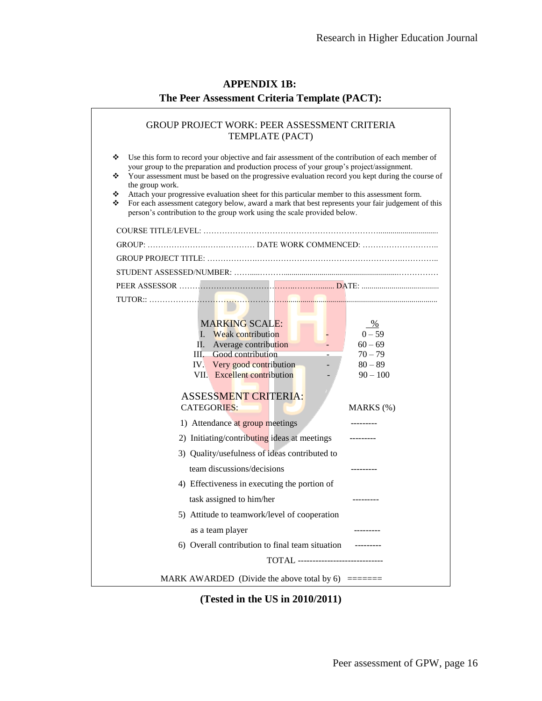| <b>APPENDIX 1B:</b>                           |
|-----------------------------------------------|
| The Peer Assessment Criteria Template (PACT): |

| <b>GROUP PROJECT WORK: PEER ASSESSMENT CRITERIA</b><br>TEMPLATE (PACT)<br>❖<br>Use this form to record your objective and fair assessment of the contribution of each member of<br>your group to the preparation and production process of your group's project/assignment.                                                                                                                                        |                         |  |  |  |  |  |  |
|--------------------------------------------------------------------------------------------------------------------------------------------------------------------------------------------------------------------------------------------------------------------------------------------------------------------------------------------------------------------------------------------------------------------|-------------------------|--|--|--|--|--|--|
| Your assessment must be based on the progressive evaluation record you kept during the course of<br>❖<br>the group work.<br>Attach your progressive evaluation sheet for this particular member to this assessment form.<br>❖<br>For each assessment category below, award a mark that best represents your fair judgement of this<br>❖<br>person's contribution to the group work using the scale provided below. |                         |  |  |  |  |  |  |
|                                                                                                                                                                                                                                                                                                                                                                                                                    |                         |  |  |  |  |  |  |
|                                                                                                                                                                                                                                                                                                                                                                                                                    |                         |  |  |  |  |  |  |
|                                                                                                                                                                                                                                                                                                                                                                                                                    |                         |  |  |  |  |  |  |
|                                                                                                                                                                                                                                                                                                                                                                                                                    |                         |  |  |  |  |  |  |
|                                                                                                                                                                                                                                                                                                                                                                                                                    |                         |  |  |  |  |  |  |
| <b>MARKING SCALE:</b>                                                                                                                                                                                                                                                                                                                                                                                              | %                       |  |  |  |  |  |  |
| I. Weak contribution                                                                                                                                                                                                                                                                                                                                                                                               | $0 - 59$                |  |  |  |  |  |  |
| Average contribution<br>Н.                                                                                                                                                                                                                                                                                                                                                                                         | $60 - 69$               |  |  |  |  |  |  |
| III. Good contribution                                                                                                                                                                                                                                                                                                                                                                                             | $70 - 79$               |  |  |  |  |  |  |
| IV. Very good contribution<br>VII. Excellent contribution                                                                                                                                                                                                                                                                                                                                                          | $80 - 89$<br>$90 - 100$ |  |  |  |  |  |  |
|                                                                                                                                                                                                                                                                                                                                                                                                                    |                         |  |  |  |  |  |  |
| <b>ASSESSMENT CRITERIA:</b><br><b>CATEGORIES:</b>                                                                                                                                                                                                                                                                                                                                                                  | $MARKS$ $(\%)$          |  |  |  |  |  |  |
| 1) Attendance at group meetings                                                                                                                                                                                                                                                                                                                                                                                    |                         |  |  |  |  |  |  |
| 2) Initiating/contributing ideas at meetings                                                                                                                                                                                                                                                                                                                                                                       |                         |  |  |  |  |  |  |
| 3) Quality/usefulness of ideas contributed to                                                                                                                                                                                                                                                                                                                                                                      |                         |  |  |  |  |  |  |
| team discussions/decisions                                                                                                                                                                                                                                                                                                                                                                                         | ----------              |  |  |  |  |  |  |
| 4) Effectiveness in executing the portion of                                                                                                                                                                                                                                                                                                                                                                       |                         |  |  |  |  |  |  |
| task assigned to him/her                                                                                                                                                                                                                                                                                                                                                                                           |                         |  |  |  |  |  |  |
| 5) Attitude to teamwork/level of cooperation                                                                                                                                                                                                                                                                                                                                                                       |                         |  |  |  |  |  |  |
| as a team player                                                                                                                                                                                                                                                                                                                                                                                                   |                         |  |  |  |  |  |  |
| 6) Overall contribution to final team situation                                                                                                                                                                                                                                                                                                                                                                    |                         |  |  |  |  |  |  |
| <b>TOTAL</b> ------------------------------                                                                                                                                                                                                                                                                                                                                                                        |                         |  |  |  |  |  |  |
|                                                                                                                                                                                                                                                                                                                                                                                                                    |                         |  |  |  |  |  |  |

**(Tested in the US in 2010/2011)**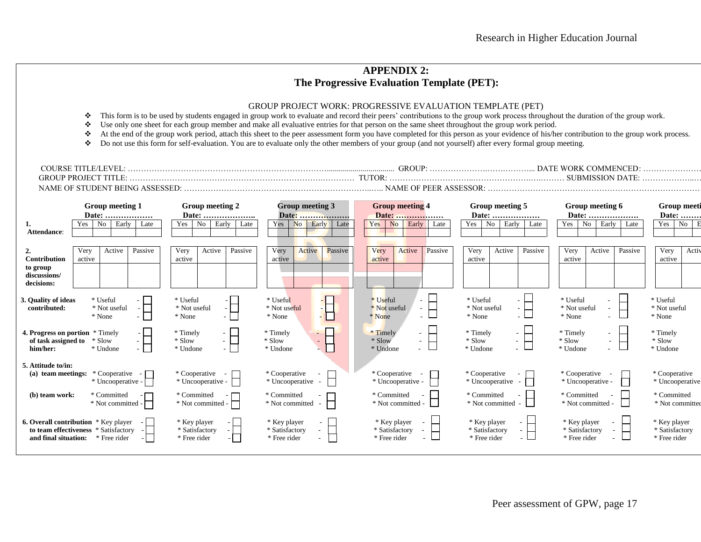## **APPENDIX 2: The Progressive Evaluation Template (PET):**

#### GROUP PROJECT WORK: PROGRESSIVE EVALUATION TEMPLATE (PET)

- $\cdot$  This form is to be used by students engaged in group work to evaluate and record their peers' contributions to the group work process throughout the duration of the group work.
- Use only one sheet for each group member and make all evaluative entries for that person on the same sheet throughout the group work period.
- At the end of the group work period, attach this sheet to the peer assessment form you have completed for this person as your evidence of his/her contribution to the group work process.
- Do not use this form for self-evaluation. You are to evaluate only the other members of your group (and not yourself) after every formal group meeting.

| TDK<br>7 I N . | GROUT | 11) |
|----------------|-------|-----|
| ≀ פר           |       |     |
|                |       | лĸ  |

| 1.<br>Attendance:                                             | <b>Group meeting 1</b><br>Date:<br>Early<br>N <sub>0</sub><br>Yes<br>Late                           | <b>Group meeting 2</b><br>Yes<br>Early<br>No<br>Late | Group meeting 3<br>Yes<br>Early<br>N <sub>o</sub><br>Late          | <b>Group meeting 4</b><br>Date:<br>Early<br>Yes<br><b>No</b><br>Late | Group meeting 5<br>Early<br>Yes<br>No<br>Late                | Group meeting 6<br>Date:<br>Yes<br>Early<br>No<br>Late                     | <b>Group meeti</b><br>Date:<br>Yes<br>No       |
|---------------------------------------------------------------|-----------------------------------------------------------------------------------------------------|------------------------------------------------------|--------------------------------------------------------------------|----------------------------------------------------------------------|--------------------------------------------------------------|----------------------------------------------------------------------------|------------------------------------------------|
| <b>Contribution</b><br>to group<br>discussions/<br>decisions: | Very<br>Passive<br>Active<br>active                                                                 | Very<br>Active<br>Passive<br>active                  | Very<br>Active<br>Passive<br>active                                | Very<br>Active<br>Passive<br>active                                  | Very<br>Active<br>Passive<br>active                          | Very<br>Passive<br>Active<br>active                                        | Very<br>Activ<br>active                        |
| 3. Quality of ideas<br>contributed:                           | * Useful<br>* Not useful<br>$-1$<br>* None<br>$-1$                                                  | * Useful<br>* Not useful<br>* None                   | $\frac{1}{2}$<br>* Useful<br>* Not useful<br>* None                | * Useful<br>$\sim$<br>* Not useful<br>$ -$<br>* None<br>- L          | * Useful<br>* Not useful<br>- H<br>* None                    | * Useful<br>* Not useful<br>* None                                         | * Useful<br>* Not useful<br>* None             |
| 4. Progress on portion<br>of task assigned to<br>him/her:     | * Timely<br>$-1$<br>* Slow<br>$\sim$ 1<br>* Undone<br>$-1$                                          | * Timely<br>* Slow<br>* Undone                       | * Timely<br>tH<br>* Slow<br>* Undone                               | * Timely<br>$\sim$<br>* Slow<br>$ -$<br>* Undone                     | * Timely<br>$\sim$<br>* Slow<br>$ -$<br>* Undone             | * Timely<br>* Slow<br>٠<br>* Undone                                        | * Timely<br>* Slow<br>* Undone                 |
| 5. Attitude to/in:<br>(a) team meetings:                      | * Cooperative<br>* Uncooperative -                                                                  | * Cooperative<br>$\sim$<br>* Uncooperative -         | * Cooperative<br>* Uncooperative                                   | * Cooperative<br>* Uncooperative -                                   | * Cooperative<br>* Uncooperative<br>$\overline{\phantom{a}}$ | * Cooperative<br>* Uncooperative -                                         | * Cooperative<br>* Uncooperative               |
| (b) team work:                                                | * Committed<br>$*$ Not committed -                                                                  | * Committed<br>* Not committed -                     | * Committed<br>* Not committed                                     | * Committed<br>* Not committed -                                     | * Committed<br>* Not committed                               | * Committed<br>* Not committed                                             | * Committed<br>* Not committed                 |
| and final situation:                                          | <b>6. Overall contribution</b> * Key player<br>to team effectiveness * Satisfactory<br>* Free rider | * Key player<br>* Satisfactory<br>* Free rider       | * Key player<br>$\sim$<br>* Satisfactory<br>$\sim$<br>* Free rider | * Key player<br>* Satisfactory<br>* Free rider                       | * Key player<br>- 1<br>* Satisfactory<br>- H<br>* Free rider | * Key player<br>* Satisfactory<br>$\overline{\phantom{0}}$<br>* Free rider | * Key player<br>* Satisfactory<br>* Free rider |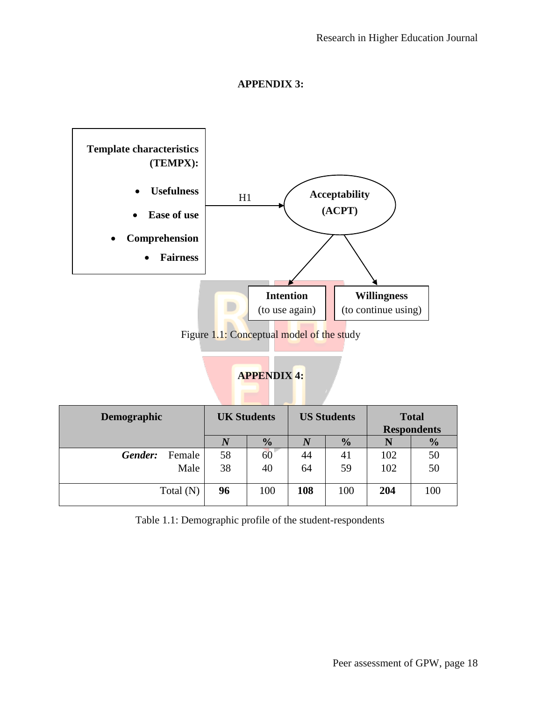

### **APPENDIX 3:**

Figure 1.1: Conceptual model of the study

## **APPENDIX 4:**

| Demographic       | <b>UK Students</b> |               | <b>US Students</b> |               | <b>Total</b><br><b>Respondents</b> |               |
|-------------------|--------------------|---------------|--------------------|---------------|------------------------------------|---------------|
|                   |                    | $\frac{0}{0}$ | $\bm{N}$           | $\frac{0}{0}$ |                                    | $\frac{0}{0}$ |
| Gender:<br>Female | 58                 | 60            | 44                 | 41            | 102                                | 50            |
| Male              | 38                 | 40            | 64                 | 59            | 102                                | 50            |
| Total (N)         | 96                 | 100           | 108                | 100           | 204                                | 100           |

Table 1.1: Demographic profile of the student-respondents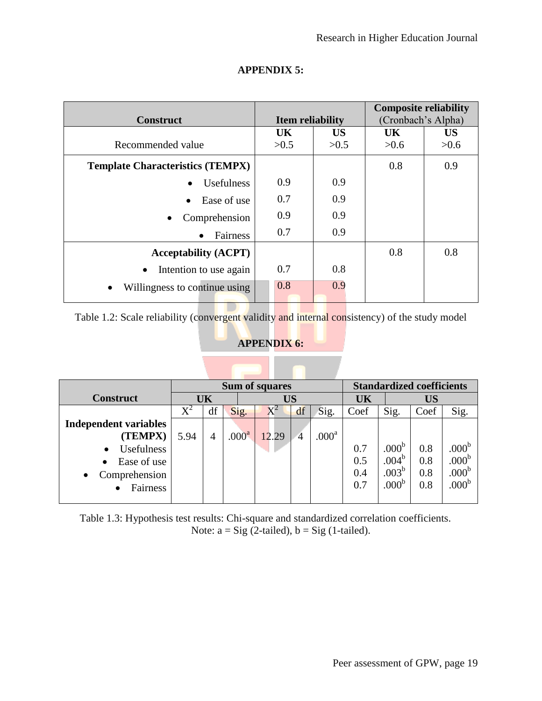|                                         |                         |           | <b>Composite reliability</b> |           |  |
|-----------------------------------------|-------------------------|-----------|------------------------------|-----------|--|
| <b>Construct</b>                        | <b>Item reliability</b> |           | (Cronbach's Alpha)           |           |  |
|                                         | <b>UK</b>               | <b>US</b> | <b>UK</b>                    | <b>US</b> |  |
| Recommended value                       | >0.5                    | >0.5      | >0.6                         | >0.6      |  |
| <b>Template Characteristics (TEMPX)</b> |                         |           | 0.8                          | 0.9       |  |
| Usefulness                              | 0.9                     | 0.9       |                              |           |  |
| Ease of use<br>$\bullet$                | 0.7                     | 0.9       |                              |           |  |
| Comprehension                           | 0.9                     | 0.9       |                              |           |  |
| Fairness<br>$\bullet$                   | 0.7                     | 0.9       |                              |           |  |
| <b>Acceptability (ACPT)</b>             |                         |           | 0.8                          | 0.8       |  |
| Intention to use again<br>$\bullet$     | 0.7                     | 0.8       |                              |           |  |
| Willingness to continue using<br>٠      | 0.8                     | 0.9       |                              |           |  |

## **APPENDIX 5:**

Table 1.2: Scale reliability (convergent validity and internal consistency) of the study model

## **APPENDIX 6:**

|                                |       |                 |                   | <b>Sum of squares</b> | <b>Standardized coefficients</b> |                   |      |                   |      |                   |
|--------------------------------|-------|-----------------|-------------------|-----------------------|----------------------------------|-------------------|------|-------------------|------|-------------------|
| <b>Construct</b>               |       | UK<br><b>US</b> |                   |                       | UK                               | US                |      |                   |      |                   |
|                                | $X^2$ | df              | Sig.              | $X^2$                 | df                               | Sig.              | Coef | Sig.              | Coef | Sig.              |
| <b>Independent variables</b>   |       |                 |                   |                       |                                  |                   |      |                   |      |                   |
| (TEMPX)                        | 5.94  | 4               | .000 <sup>a</sup> | 12.29                 | $\overline{4}$                   | .000 <sup>a</sup> |      |                   |      |                   |
| <b>Usefulness</b><br>$\bullet$ |       |                 |                   |                       |                                  |                   | 0.7  | .000 <sup>b</sup> | 0.8  | .000 <sup>b</sup> |
| Ease of use                    |       |                 |                   |                       |                                  |                   | 0.5  | .004 <sup>b</sup> | 0.8  | .000 <sup>b</sup> |
| Comprehension<br>$\bullet$     |       |                 |                   |                       |                                  |                   | 0.4  | .003 <sup>b</sup> | 0.8  | .000 <sup>b</sup> |
| Fairness<br>$\bullet$          |       |                 |                   |                       |                                  |                   | 0.7  | .000 <sup>b</sup> | 0.8  | .000 <sup>b</sup> |
|                                |       |                 |                   |                       |                                  |                   |      |                   |      |                   |

Table 1.3: Hypothesis test results: Chi-square and standardized correlation coefficients. Note:  $a = Sig(2-tailed), b = Sig(1-tailed).$